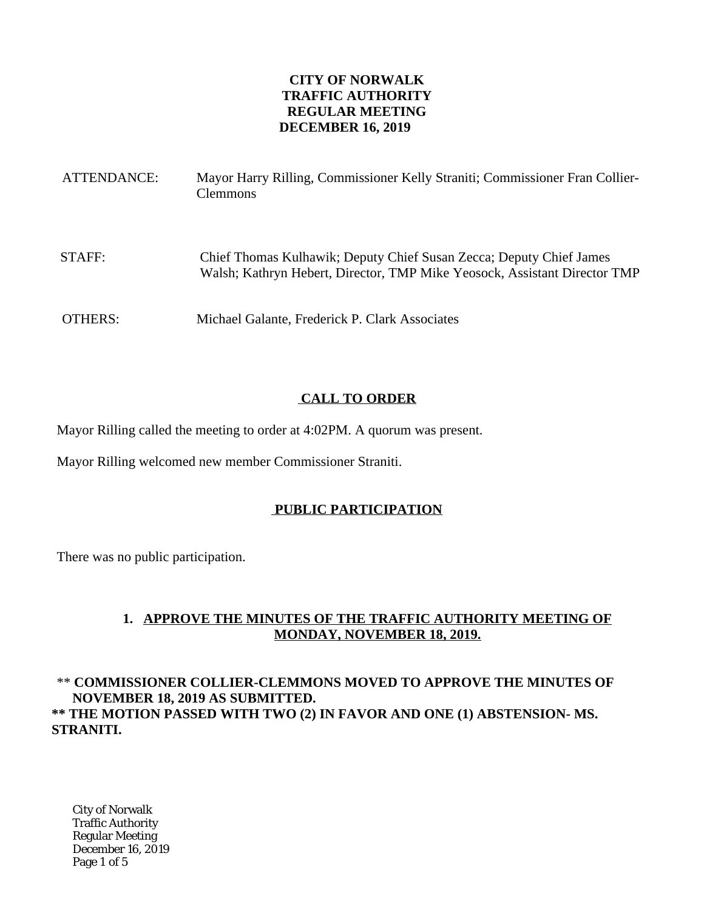## **CITY OF NORWALK TRAFFIC AUTHORITY REGULAR MEETING DECEMBER 16, 2019**

| ATTENDANCE: | Mayor Harry Rilling, Commissioner Kelly Straniti; Commissioner Fran Collier-<br><b>Clemmons</b>                                                  |
|-------------|--------------------------------------------------------------------------------------------------------------------------------------------------|
| STAFF:      | Chief Thomas Kulhawik; Deputy Chief Susan Zecca; Deputy Chief James<br>Walsh; Kathryn Hebert, Director, TMP Mike Yeosock, Assistant Director TMP |
| OTHERS:     | Michael Galante, Frederick P. Clark Associates                                                                                                   |

# **CALL TO ORDER**

Mayor Rilling called the meeting to order at 4:02PM. A quorum was present.

Mayor Rilling welcomed new member Commissioner Straniti.

# **PUBLIC PARTICIPATION**

There was no public participation.

# **1. APPROVE THE MINUTES OF THE TRAFFIC AUTHORITY MEETING OF MONDAY, NOVEMBER 18, 2019.**

# \*\* **COMMISSIONER COLLIER-CLEMMONS MOVED TO APPROVE THE MINUTES OF NOVEMBER 18, 2019 AS SUBMITTED. \*\* THE MOTION PASSED WITH TWO (2) IN FAVOR AND ONE (1) ABSTENSION- MS. STRANITI.**

City of Norwalk Traffic Authority Regular Meeting December 16, 2019 Page 1 of 5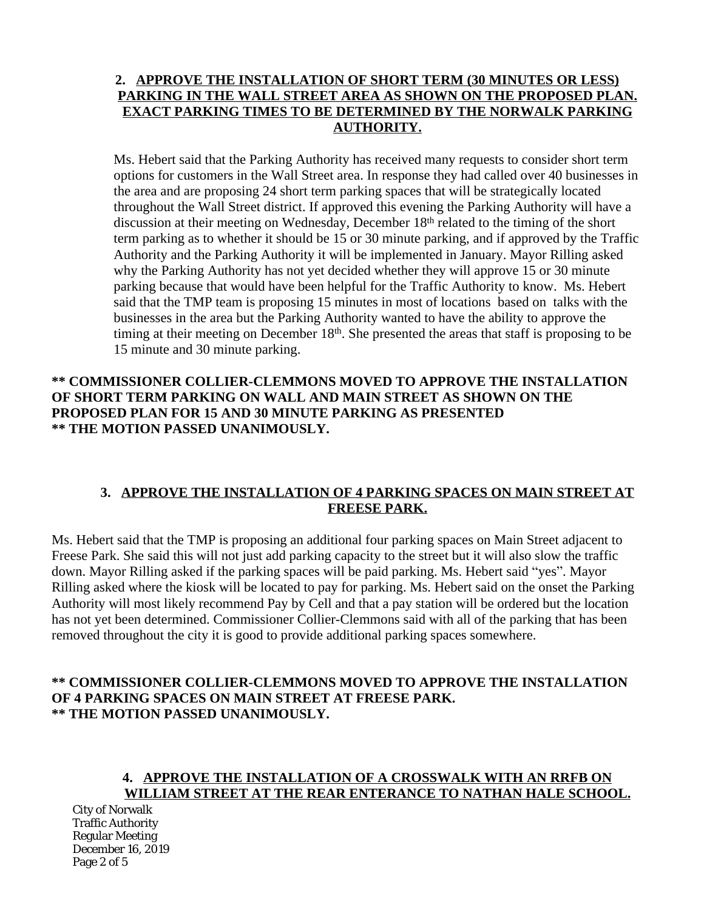## **2. APPROVE THE INSTALLATION OF SHORT TERM (30 MINUTES OR LESS) PARKING IN THE WALL STREET AREA AS SHOWN ON THE PROPOSED PLAN. EXACT PARKING TIMES TO BE DETERMINED BY THE NORWALK PARKING AUTHORITY.**

Ms. Hebert said that the Parking Authority has received many requests to consider short term options for customers in the Wall Street area. In response they had called over 40 businesses in the area and are proposing 24 short term parking spaces that will be strategically located throughout the Wall Street district. If approved this evening the Parking Authority will have a discussion at their meeting on Wednesday, December 18<sup>th</sup> related to the timing of the short term parking as to whether it should be 15 or 30 minute parking, and if approved by the Traffic Authority and the Parking Authority it will be implemented in January. Mayor Rilling asked why the Parking Authority has not yet decided whether they will approve 15 or 30 minute parking because that would have been helpful for the Traffic Authority to know. Ms. Hebert said that the TMP team is proposing 15 minutes in most of locations based on talks with the businesses in the area but the Parking Authority wanted to have the ability to approve the timing at their meeting on December 18<sup>th</sup>. She presented the areas that staff is proposing to be 15 minute and 30 minute parking.

## **\*\* COMMISSIONER COLLIER-CLEMMONS MOVED TO APPROVE THE INSTALLATION OF SHORT TERM PARKING ON WALL AND MAIN STREET AS SHOWN ON THE PROPOSED PLAN FOR 15 AND 30 MINUTE PARKING AS PRESENTED \*\* THE MOTION PASSED UNANIMOUSLY.**

## **3. APPROVE THE INSTALLATION OF 4 PARKING SPACES ON MAIN STREET AT FREESE PARK.**

Ms. Hebert said that the TMP is proposing an additional four parking spaces on Main Street adjacent to Freese Park. She said this will not just add parking capacity to the street but it will also slow the traffic down. Mayor Rilling asked if the parking spaces will be paid parking. Ms. Hebert said "yes". Mayor Rilling asked where the kiosk will be located to pay for parking. Ms. Hebert said on the onset the Parking Authority will most likely recommend Pay by Cell and that a pay station will be ordered but the location has not yet been determined. Commissioner Collier-Clemmons said with all of the parking that has been removed throughout the city it is good to provide additional parking spaces somewhere.

## **\*\* COMMISSIONER COLLIER-CLEMMONS MOVED TO APPROVE THE INSTALLATION OF 4 PARKING SPACES ON MAIN STREET AT FREESE PARK. \*\* THE MOTION PASSED UNANIMOUSLY.**

#### **4. APPROVE THE INSTALLATION OF A CROSSWALK WITH AN RRFB ON WILLIAM STREET AT THE REAR ENTERANCE TO NATHAN HALE SCHOOL.**

City of Norwalk Traffic Authority Regular Meeting December 16, 2019 Page 2 of 5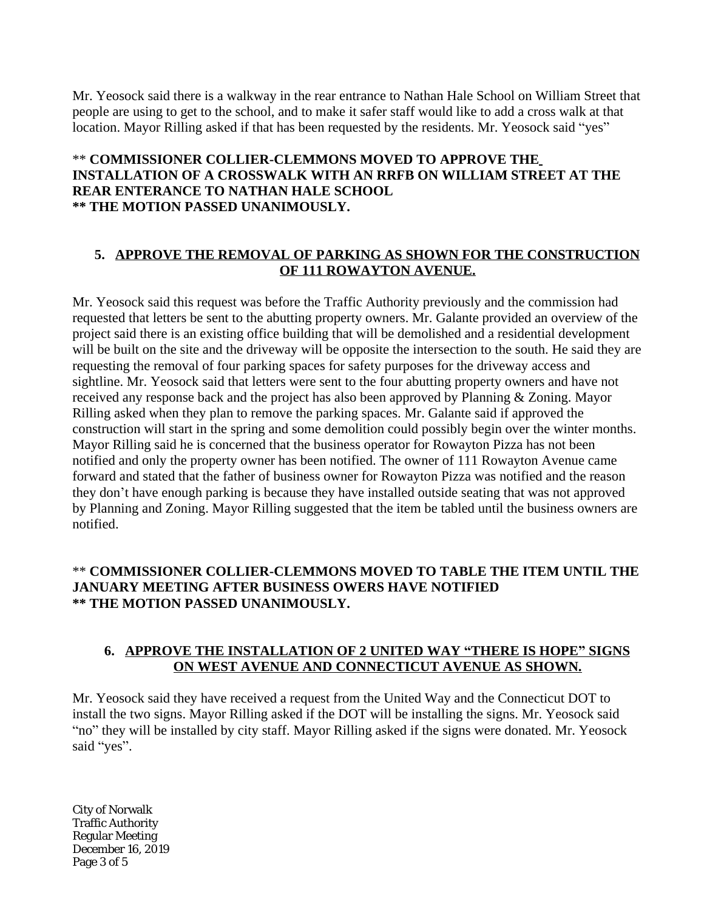Mr. Yeosock said there is a walkway in the rear entrance to Nathan Hale School on William Street that people are using to get to the school, and to make it safer staff would like to add a cross walk at that location. Mayor Rilling asked if that has been requested by the residents. Mr. Yeosock said "yes"

#### \*\* **COMMISSIONER COLLIER-CLEMMONS MOVED TO APPROVE THE INSTALLATION OF A CROSSWALK WITH AN RRFB ON WILLIAM STREET AT THE REAR ENTERANCE TO NATHAN HALE SCHOOL \*\* THE MOTION PASSED UNANIMOUSLY.**

#### **5. APPROVE THE REMOVAL OF PARKING AS SHOWN FOR THE CONSTRUCTION OF 111 ROWAYTON AVENUE.**

Mr. Yeosock said this request was before the Traffic Authority previously and the commission had requested that letters be sent to the abutting property owners. Mr. Galante provided an overview of the project said there is an existing office building that will be demolished and a residential development will be built on the site and the driveway will be opposite the intersection to the south. He said they are requesting the removal of four parking spaces for safety purposes for the driveway access and sightline. Mr. Yeosock said that letters were sent to the four abutting property owners and have not received any response back and the project has also been approved by Planning & Zoning. Mayor Rilling asked when they plan to remove the parking spaces. Mr. Galante said if approved the construction will start in the spring and some demolition could possibly begin over the winter months. Mayor Rilling said he is concerned that the business operator for Rowayton Pizza has not been notified and only the property owner has been notified. The owner of 111 Rowayton Avenue came forward and stated that the father of business owner for Rowayton Pizza was notified and the reason they don't have enough parking is because they have installed outside seating that was not approved by Planning and Zoning. Mayor Rilling suggested that the item be tabled until the business owners are notified.

## \*\* **COMMISSIONER COLLIER-CLEMMONS MOVED TO TABLE THE ITEM UNTIL THE JANUARY MEETING AFTER BUSINESS OWERS HAVE NOTIFIED \*\* THE MOTION PASSED UNANIMOUSLY.**

## **6. APPROVE THE INSTALLATION OF 2 UNITED WAY "THERE IS HOPE" SIGNS ON WEST AVENUE AND CONNECTICUT AVENUE AS SHOWN.**

Mr. Yeosock said they have received a request from the United Way and the Connecticut DOT to install the two signs. Mayor Rilling asked if the DOT will be installing the signs. Mr. Yeosock said "no" they will be installed by city staff. Mayor Rilling asked if the signs were donated. Mr. Yeosock said "yes".

City of Norwalk Traffic Authority Regular Meeting December 16, 2019 Page 3 of 5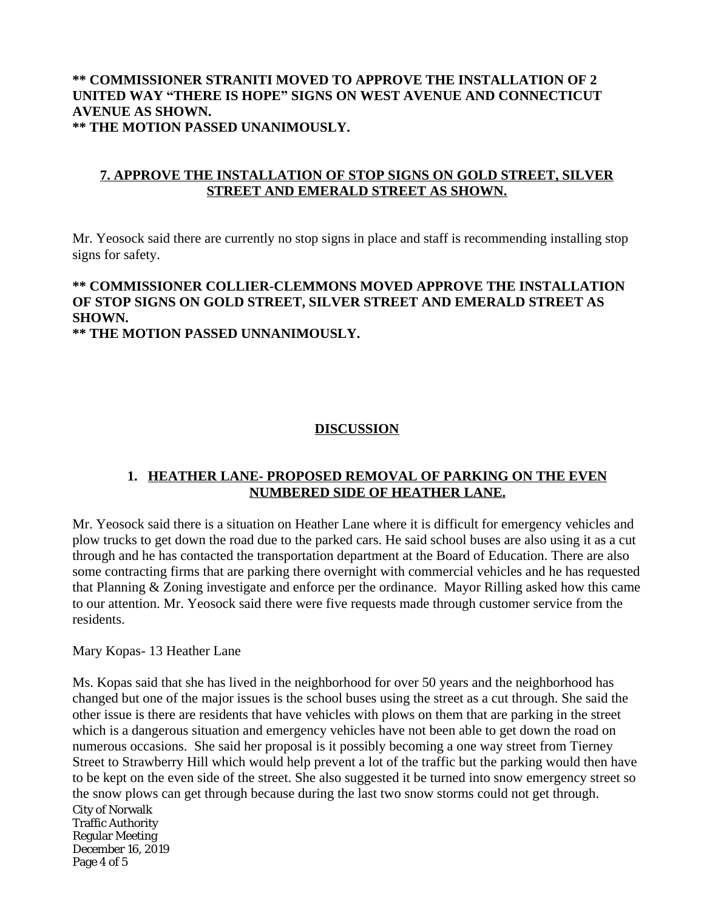## **\*\* COMMISSIONER STRANITI MOVED TO APPROVE THE INSTALLATION OF 2 UNITED WAY "THERE IS HOPE" SIGNS ON WEST AVENUE AND CONNECTICUT AVENUE AS SHOWN. \*\* THE MOTION PASSED UNANIMOUSLY.**

## **7. APPROVE THE INSTALLATION OF STOP SIGNS ON GOLD STREET, SILVER STREET AND EMERALD STREET AS SHOWN.**

Mr. Yeosock said there are currently no stop signs in place and staff is recommending installing stop signs for safety.

# **\*\* COMMISSIONER COLLIER-CLEMMONS MOVED APPROVE THE INSTALLATION OF STOP SIGNS ON GOLD STREET, SILVER STREET AND EMERALD STREET AS SHOWN.**

**\*\* THE MOTION PASSED UNNANIMOUSLY.**

# **DISCUSSION**

## **1. HEATHER LANE- PROPOSED REMOVAL OF PARKING ON THE EVEN NUMBERED SIDE OF HEATHER LANE.**

Mr. Yeosock said there is a situation on Heather Lane where it is difficult for emergency vehicles and plow trucks to get down the road due to the parked cars. He said school buses are also using it as a cut through and he has contacted the transportation department at the Board of Education. There are also some contracting firms that are parking there overnight with commercial vehicles and he has requested that Planning & Zoning investigate and enforce per the ordinance. Mayor Rilling asked how this came to our attention. Mr. Yeosock said there were five requests made through customer service from the residents.

Mary Kopas- 13 Heather Lane

City of Norwalk Traffic Authority Regular Meeting December 16, 2019 Page 4 of 5 Ms. Kopas said that she has lived in the neighborhood for over 50 years and the neighborhood has changed but one of the major issues is the school buses using the street as a cut through. She said the other issue is there are residents that have vehicles with plows on them that are parking in the street which is a dangerous situation and emergency vehicles have not been able to get down the road on numerous occasions. She said her proposal is it possibly becoming a one way street from Tierney Street to Strawberry Hill which would help prevent a lot of the traffic but the parking would then have to be kept on the even side of the street. She also suggested it be turned into snow emergency street so the snow plows can get through because during the last two snow storms could not get through.